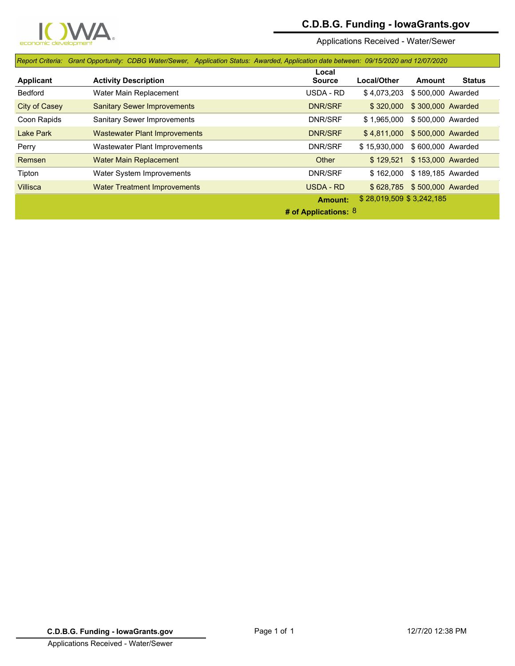

## **C.D.B.G. Funding - IowaGrants.gov**

Applications Received - Water/Sewer

|                      | Report Criteria: Grant Opportunity: CDBG Water/Sewer, Application Status: Awarded, Application date between: 09/15/2020 and 12/07/2020 |                                            |              |                   |               |  |
|----------------------|----------------------------------------------------------------------------------------------------------------------------------------|--------------------------------------------|--------------|-------------------|---------------|--|
|                      |                                                                                                                                        | Local                                      | Local/Other  |                   | <b>Status</b> |  |
| <b>Applicant</b>     | <b>Activity Description</b>                                                                                                            | <b>Source</b>                              |              | Amount            |               |  |
| <b>Bedford</b>       | Water Main Replacement                                                                                                                 | USDA - RD                                  | \$4,073,203  | \$500,000 Awarded |               |  |
| <b>City of Casey</b> | <b>Sanitary Sewer Improvements</b>                                                                                                     | <b>DNR/SRF</b>                             | \$320.000    | \$300,000 Awarded |               |  |
| Coon Rapids          | <b>Sanitary Sewer Improvements</b>                                                                                                     | DNR/SRF                                    | \$1,965,000  | \$500,000 Awarded |               |  |
| Lake Park            | <b>Wastewater Plant Improvements</b>                                                                                                   | <b>DNR/SRF</b>                             | \$4.811.000  | \$500,000 Awarded |               |  |
| Perry                | Wastewater Plant Improvements                                                                                                          | DNR/SRF                                    | \$15,930,000 | \$600,000 Awarded |               |  |
| Remsen               | <b>Water Main Replacement</b>                                                                                                          | Other                                      | \$129.521    | \$153,000 Awarded |               |  |
| Tipton               | Water System Improvements                                                                                                              | DNR/SRF                                    | \$162.000    | \$189.185 Awarded |               |  |
| <b>Villisca</b>      | <b>Water Treatment Improvements</b>                                                                                                    | USDA - RD                                  | \$628.785    | \$500,000 Awarded |               |  |
|                      |                                                                                                                                        | \$28,019,509 \$3,242,185<br><b>Amount:</b> |              |                   |               |  |
|                      | # of Applications: $8$                                                                                                                 |                                            |              |                   |               |  |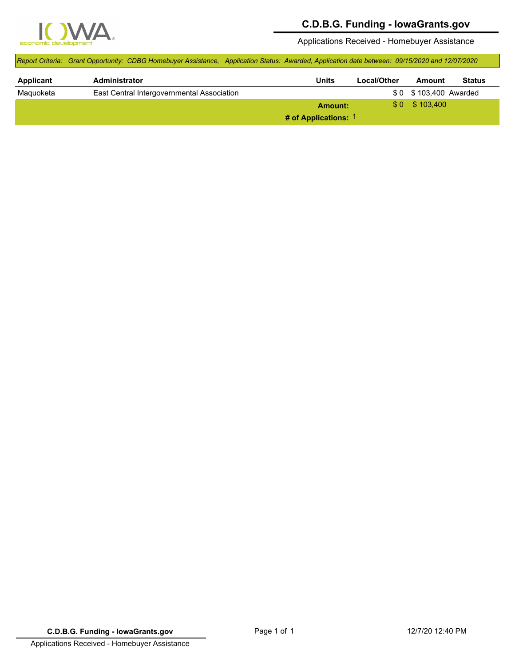

## **C.D.B.G. Funding - IowaGrants.gov**

Applications Received - Homebuyer Assistance

|                  | Report Criteria: Grant Opportunity: CDBG Homebuyer Assistance, Application Status: Awarded, Application date between: 09/15/2020 and 12/07/2020 |         |             |                       |               |
|------------------|-------------------------------------------------------------------------------------------------------------------------------------------------|---------|-------------|-----------------------|---------------|
| <b>Applicant</b> | Administrator                                                                                                                                   | Units   | Local/Other | Amount                | <b>Status</b> |
| Maguoketa        | East Central Intergovernmental Association                                                                                                      |         |             | \$0 \$103,400 Awarded |               |
|                  |                                                                                                                                                 | Amount: |             | $$0$ $$103.400$       |               |
|                  | # of Applications: 1                                                                                                                            |         |             |                       |               |